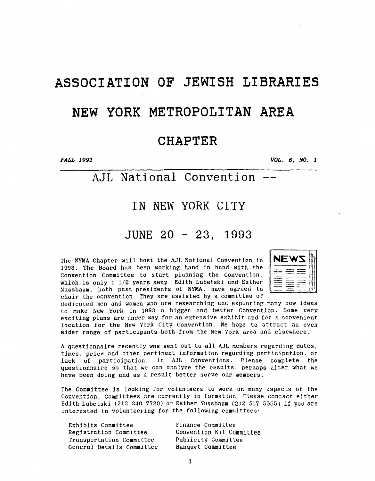# ASSOCIATION OF JEWISH LIBRARIES

## NEW YORK METROPOLITAN **AREA**

### **CHAPTER**

*PALL 1991 VQL. 6, NO. 1* 

### AJL **National convention** --

### **IN** NEW YORK CITY

### JUNE 20 - **23,** <sup>1993</sup>

The NYMA Chapter will host the AJL National Convention in **1993.** The Board has been working hand in hand with the Convention Committee to start planning the Convention, which is only **1 1/2** years away. Edith Lubetski and Esther Nussbaum, both past presidents of NYMA, have agreed to chair the convention. They are assisted by a committee of

| N<br>EW                                                           |  |
|-------------------------------------------------------------------|--|
| -<br>---<br>___                                                   |  |
| ___<br>-<br>$\overline{\phantom{a}}$<br>-----<br>__<br>__<br>---- |  |
|                                                                   |  |

dedicated men and women who are researching and exploring many new ideas to make New York in **1393** a bigger and better Convention. Some very exciting **plans** are under way for an extensive exhibit and for a convenient location for the New York City Convention. We hope to attract an even wider range of participants both from the New York area and elsewhere.

**A** questionnaire recently was sent out to all **AJL** members regarding dates, times, price and other pertinent information regarding participation, or lack of participation. in **AJL** Conventions. Please complete the questionnaire so that we can analyze the results, perhaps alter what we have been doing and as a result better serve our members.

The Committee is looking for volunteers to work on many aspects of the Convention. Committees are currently in formation. Please contact either Edith Lubetski **(212 330 7720)** or Esther Nussbaum **(212 517 5355) If** you are interested in volunteering for the following committees:

Exhibits Committee Finance Committee Registration Committee Convention Kit Committee Transportation Committee Publicity Committee General Details Committee Banquet Committee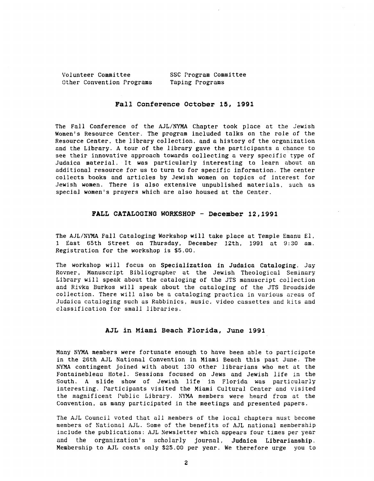Volunteer Committee SSC Program Committee Other Convention Programs Taping Programs

#### **Fall Conference October 15, 1991**

The Fall Conference of the AJL/NYMA Chapter took place at the Jewish Women's Resource Center. The program included talks on the role of the Resource Center, the library collection, and **a** history of the organization and the Library. **A** tour of the library gave the participants **a** chance to see their innovative approach towards collecting a very specific type of Judaica material. It was particularly interesting to learn about an additional resource for us to turn to for specific information. The center collects books and articles by Jewish women on topics of interest for Jewish women. There is also extensive unpublished materials. sach as special women's prayers which are also housed at the Center.

#### FALL CATALOGING WORKSHOP - December 12,1991

The AJL/NYMA Fall Cataloging Workshop will take place at Temple Enanu El, 1 East 65th Street on Thursday, December 12th, 1991 at **9:30** am. Registration for the workshop is *\$5.00.* 

The workshop will focus on Specialization in Judaica Cataloging. **Jay**  Rovner, Manuscript Eibliographer at the Jewish Theological Seminary Library will speak about the cataloging of the JTS manuscript collection and Rivka Eurkos will speak about the cataloging of the JTS Eroadside collection. There will also be a cataloging practica in various *zreas* of Judaica cataloging such as Rabbinics, music, video cassettes and kits and classification for small libraries.

#### **AJL in Miami Beach Florida, June 1991**

Many NYMA members were fortunate enough to have been able to participate in the 26th AJL National Convention in Miami Beach this past June. The NYMA contingent joined with about 130 other librarians who met at the Fontainebleau Hotel. Sessions focused on Jews and Jewish life in the South. **A** slide show of Jewish life in Florida was particularly interesting. Participants visited the Miami Cultural Center and visited the magnificent Public Library. **NYM** members were heard *from* at the Convention, **as** many participated in the meetings and presented papers.

The AJL Council voted that all members of the local chapters must become members of Xational AJL. Some of the benefits of **AJL** national nembership include the publications: AJL Xewsletter which appears four tines per year and the organization's scholarly journal, Judaica Librarianship. Membership to AJL costs only \$25.00 per year. We therefore urge you *to*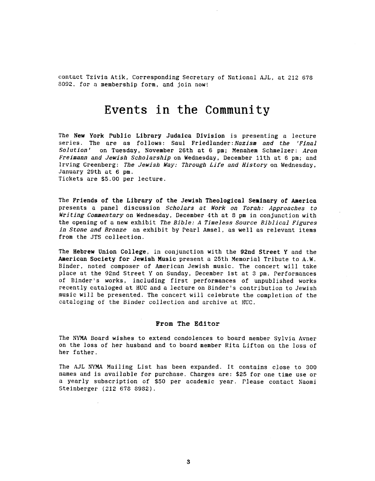contact Tzivia Atik, Corresponding Secretary of National AJL, at 212 **678 8092.** for a membership form, and join now!

### Events in the **Community**

The **New** York **Public Library Judaicn Division** is presenting a lecture series. The are as follows: Saul Friedlander: Nazism and the 'Final<br>Solution' on Tuesday, November 26th at 6 pm: Menahem Schmelzer: Aron on Tuesday, November 26th at 6 pm; Menahem Schmelzer: Aron Freimann and Jewish Scholarship on Wednesday, December 11th at **5 pn;** and Irving Creenberg: The Jewish *Way:* Through Life and History on Wednesday, January 29th at **6** pm. Tickets are \$5.00 per lecture.

The **Friends of the Library of the Jewish Theological Seminary of America**  presents a panel discussion Scholars at *Work* on Torah: Approaches to Writing Commentaryon Wednesday, December 4th at **8** pm in conjunction with the opening of a new exhibit The Bible: *A* Timeless Source Biblical Figures in Stone and Bronze an exhibit by Pearl Amsel, as well as relevant items from the JTS collection.

The **Hebrew Union College,** in conjunction with the **92nd Street** Y and the **American Society** for **Jewish Music** present a 25th Memorial Tribute to **A.W.**  Binder, noted composer of American Jewish music. The concert will take place at the 92nd Street *Y* on Sunday, December 1st at **3** pm. Performances of Einder's works, including first performances of unpublished works recently cataloged at **HUC** and a lecture *on* Binder's contribution to Jewish music will be presented. The concert will celebrate the completion of the cataloging **of** the Einder collection and archive at HUG.

#### **From** The **Editor**

The **XYHA** Eoard wishes to extend condolences to board member Sylvia Avner on the loss of her husband and to board member Rita Lifton on the loss of her father.

The AJL **NYMA** Mailing List has been expanded. It contains close to 300 names and is available for purchase. Charges are: \$25 for one time use or a yearly subscription of \$50 per academic year. Please contact Naomi Steinberger (212 678 **8982).**